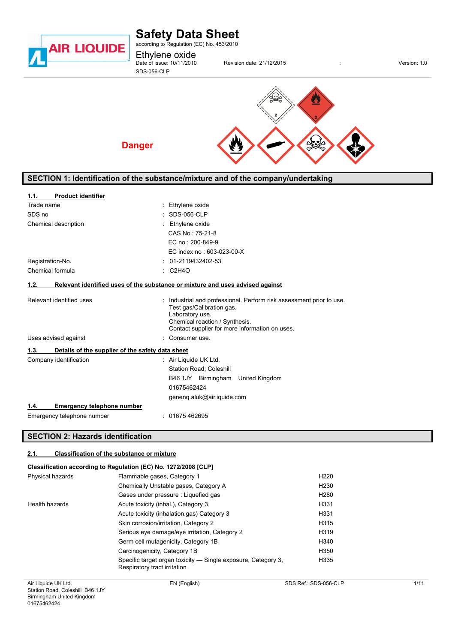

# **Safety Data Sheet**

according to Regulation (EC) No. 453/2010

Ethylene oxide<br>Date of issue: 10/11/2010

SDS-056-CLP

**Danger**

Physics of issues: 21/12/2015 **and its issues: 10 million date: 21/12/2015 contrary in the version: 1.0** 



# **SECTION 1: Identification of the substance/mixture and of the company/undertaking**

| <b>Product identifier</b><br>1.1.                        |                                                                                                                                                                                                          |
|----------------------------------------------------------|----------------------------------------------------------------------------------------------------------------------------------------------------------------------------------------------------------|
| Trade name                                               | Ethylene oxide                                                                                                                                                                                           |
| SDS no                                                   | <b>SDS-056-CLP</b>                                                                                                                                                                                       |
| Chemical description                                     | Ethylene oxide                                                                                                                                                                                           |
|                                                          | CAS No: 75-21-8                                                                                                                                                                                          |
|                                                          | EC no: 200-849-9                                                                                                                                                                                         |
|                                                          | EC index no: 603-023-00-X                                                                                                                                                                                |
| Registration-No.                                         | 01-2119432402-53                                                                                                                                                                                         |
| Chemical formula                                         | $\therefore$ C2H4O                                                                                                                                                                                       |
| 1.2.                                                     | Relevant identified uses of the substance or mixture and uses advised against                                                                                                                            |
| Relevant identified uses                                 | : Industrial and professional. Perform risk assessment prior to use.<br>Test gas/Calibration gas.<br>Laboratory use.<br>Chemical reaction / Synthesis.<br>Contact supplier for more information on uses. |
| Uses advised against                                     | Consumer use.                                                                                                                                                                                            |
| Details of the supplier of the safety data sheet<br>1.3. |                                                                                                                                                                                                          |
| Company identification                                   | : Air Liquide UK Ltd.<br><b>Station Road, Coleshill</b>                                                                                                                                                  |
|                                                          | B46 1JY Birmingham United Kingdom                                                                                                                                                                        |
|                                                          | 01675462424                                                                                                                                                                                              |
|                                                          | geneng.aluk@airliquide.com                                                                                                                                                                               |
| <b>Emergency telephone number</b><br>1.4.                |                                                                                                                                                                                                          |
| Emergency telephone number                               | 01675 462695                                                                                                                                                                                             |

### **SECTION 2: Hazards identification**

#### **2.1. Classification of the substance or mixture**

### **Classification according to Regulation (EC) No. 1272/2008 [CLP]**

| Physical hazards | Flammable gases, Category 1                                                                   | H <sub>220</sub> |
|------------------|-----------------------------------------------------------------------------------------------|------------------|
|                  | Chemically Unstable gases, Category A                                                         | H <sub>230</sub> |
|                  | Gases under pressure : Liquefied gas                                                          | H <sub>280</sub> |
| Health hazards   | Acute toxicity (inhal.), Category 3                                                           | H331             |
|                  | Acute toxicity (inhalation: qas) Category 3                                                   | H331             |
|                  | Skin corrosion/irritation, Category 2                                                         | H315             |
|                  | Serious eye damage/eye irritation, Category 2                                                 | H319             |
|                  | Germ cell mutagenicity, Category 1B                                                           | H340             |
|                  | Carcinogenicity, Category 1B                                                                  | H350             |
|                  | Specific target organ toxicity — Single exposure, Category 3,<br>Respiratory tract irritation | H335             |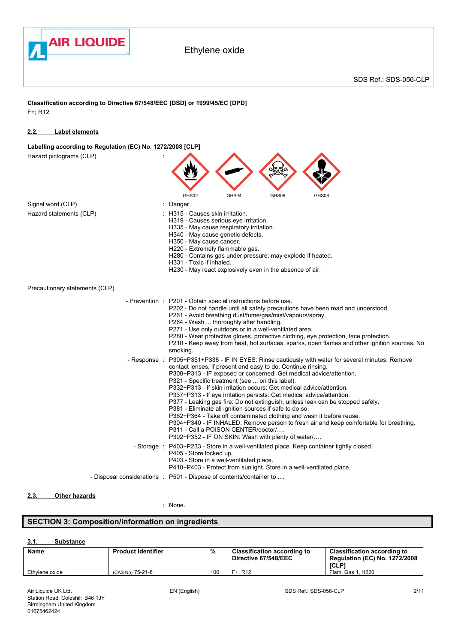

**Classification according to Directive 67/548/EEC [DSD] or 1999/45/EC [DPD]** F+; R12

### **2.2. Label elements**

**Labelling according to Regulation (EC) No. 1272/2008 [CLP]**

| Hazard pictograms (CLP)        |              |                                                                                        |                                                                                                                                                           |                                                                                                                                                                               |                                                                                                                                                                                                                                                                                                                                                                               |                                                                                                                                                                                |
|--------------------------------|--------------|----------------------------------------------------------------------------------------|-----------------------------------------------------------------------------------------------------------------------------------------------------------|-------------------------------------------------------------------------------------------------------------------------------------------------------------------------------|-------------------------------------------------------------------------------------------------------------------------------------------------------------------------------------------------------------------------------------------------------------------------------------------------------------------------------------------------------------------------------|--------------------------------------------------------------------------------------------------------------------------------------------------------------------------------|
|                                |              | GHS02                                                                                  | GHS04                                                                                                                                                     | GHS06                                                                                                                                                                         | GHS08                                                                                                                                                                                                                                                                                                                                                                         |                                                                                                                                                                                |
| Signal word (CLP)              |              | Danger                                                                                 |                                                                                                                                                           |                                                                                                                                                                               |                                                                                                                                                                                                                                                                                                                                                                               |                                                                                                                                                                                |
| Hazard statements (CLP)        |              | H315 - Causes skin irritation.<br>H350 - May cause cancer.<br>H331 - Toxic if inhaled. | H319 - Causes serious eye irritation.<br>H335 - May cause respiratory irritation.<br>H340 - May cause genetic defects.<br>H220 - Extremely flammable gas. | H280 - Contains gas under pressure; may explode if heated.<br>H230 - May react explosively even in the absence of air.                                                        |                                                                                                                                                                                                                                                                                                                                                                               |                                                                                                                                                                                |
| Precautionary statements (CLP) |              |                                                                                        |                                                                                                                                                           |                                                                                                                                                                               |                                                                                                                                                                                                                                                                                                                                                                               |                                                                                                                                                                                |
|                                |              | - Prevention : P201 - Obtain special instructions before use.<br>smoking.              | P264 - Wash  thoroughly after handling.                                                                                                                   | P261 - Avoid breathing dust/fume/gas/mist/vapours/spray.<br>P271 - Use only outdoors or in a well-ventilated area.                                                            | P202 - Do not handle until all safety precautions have been read and understood.<br>P280 - Wear protective gloves, protective clothing, eye protection, face protection.                                                                                                                                                                                                      | P210 - Keep away from heat, hot surfaces, sparks, open flames and other ignition sources. No                                                                                   |
|                                | - Response : |                                                                                        | P321 - Specific treatment (see  on this label).<br>P311 - Call a POISON CENTER/doctor/                                                                    | contact lenses, if present and easy to do. Continue rinsing.<br>P381 - Eliminate all ignition sources if safe to do so.<br>P302+P352 - IF ON SKIN: Wash with plenty of water/ | P308+P313 - IF exposed or concerned: Get medical advice/attention.<br>P332+P313 - If skin irritation occurs: Get medical advice/attention.<br>P337+P313 - If eye irritation persists: Get medical advice/attention.<br>P377 - Leaking gas fire: Do not extinguish, unless leak can be stopped safely.<br>P362+P364 - Take off contaminated clothing and wash it before reuse. | P305+P351+P338 - IF IN EYES: Rinse cautiously with water for several minutes. Remove<br>P304+P340 - IF INHALED: Remove person to fresh air and keep comfortable for breathing. |
|                                | - Storage :  | P405 - Store locked up.                                                                | P403 - Store in a well-ventilated place.                                                                                                                  |                                                                                                                                                                               | P403+P233 - Store in a well-ventilated place. Keep container tightly closed.<br>P410+P403 - Protect from sunlight. Store in a well-ventilated place.                                                                                                                                                                                                                          |                                                                                                                                                                                |
|                                |              | - Disposal considerations : P501 - Dispose of contents/container to                    |                                                                                                                                                           |                                                                                                                                                                               |                                                                                                                                                                                                                                                                                                                                                                               |                                                                                                                                                                                |
|                                |              |                                                                                        |                                                                                                                                                           |                                                                                                                                                                               |                                                                                                                                                                                                                                                                                                                                                                               |                                                                                                                                                                                |

### **2.3. Other hazards**

: None.

# **SECTION 3: Composition/information on ingredients**

### **3.1. Substance**

| <b>Name</b>    | <b>Product identifier</b> | %   | <b>Classification according to</b><br>Directive 67/548/EEC | <b>Classification according to</b><br><b>Regulation (EC) No. 1272/2008</b><br><b>ICLP1</b> |
|----------------|---------------------------|-----|------------------------------------------------------------|--------------------------------------------------------------------------------------------|
| Ethylene oxide | (CAS No) 75-21-8          | 100 | $F + R12$                                                  | . H <sub>220</sub><br>Flam, Gas 1                                                          |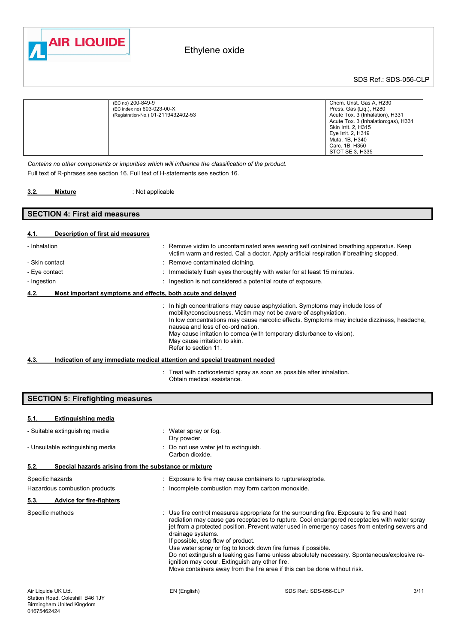

SDS Ref.: SDS-056-CLP

| (EC no) 200-849-9                   | Chem. Unst. Gas A, H230              |
|-------------------------------------|--------------------------------------|
| (EC index no) 603-023-00-X          | Press. Gas (Lig.), H280              |
| (Registration-No.) 01-2119432402-53 | Acute Tox. 3 (Inhalation), H331      |
|                                     | Acute Tox. 3 (Inhalation: qas), H331 |
|                                     | Skin Irrit. 2, H315                  |
|                                     | Eye Irrit. 2, H319                   |
|                                     | Muta, 1B, H340                       |
|                                     | Carc. 1B, H350                       |
|                                     | STOT SE 3, H335                      |

*Contains no other components or impurities which will influence the classification of the product.* Full text of R-phrases see section 16. Full text of H-statements see section 16.

 : Not applicable **3.2. Mixture** 

### **SECTION 4: First aid measures**

### **4.1. Description of first aid measures**

| - Inhalation   |                                                             | : Remove victim to uncontaminated area wearing self contained breathing apparatus. Keep<br>victim warm and rested. Call a doctor. Apply artificial respiration if breathing stopped.                                                                                                                                                                                                                                   |
|----------------|-------------------------------------------------------------|------------------------------------------------------------------------------------------------------------------------------------------------------------------------------------------------------------------------------------------------------------------------------------------------------------------------------------------------------------------------------------------------------------------------|
| - Skin contact |                                                             | : Remove contaminated clothing.                                                                                                                                                                                                                                                                                                                                                                                        |
| - Eye contact  |                                                             | Immediately flush eyes thoroughly with water for at least 15 minutes.                                                                                                                                                                                                                                                                                                                                                  |
| - Ingestion    |                                                             | Ingestion is not considered a potential route of exposure.                                                                                                                                                                                                                                                                                                                                                             |
| 4.2.           | Most important symptoms and effects, both acute and delayed |                                                                                                                                                                                                                                                                                                                                                                                                                        |
|                |                                                             | In high concentrations may cause asphyxiation. Symptoms may include loss of<br>mobility/consciousness. Victim may not be aware of asphyxiation.<br>In low concentrations may cause narcotic effects. Symptoms may include dizziness, headache,<br>nausea and loss of co-ordination.<br>May cause irritation to cornea (with temporary disturbance to vision).<br>May cause irritation to skin.<br>Refer to section 11. |
| 4.3.           |                                                             | Indication of any immediate medical attention and special treatment needed                                                                                                                                                                                                                                                                                                                                             |
|                |                                                             | Treat with corticosteroid spray as soon as possible after inhalation.<br>Obtain medical assistance.                                                                                                                                                                                                                                                                                                                    |

**SECTION 5: Firefighting measures**

| <b>Extinguishing media</b><br>5.1.                            |                                                                                                                                                                                                                                                                                                                                                                                                                                                                                                                                                                                                                                                        |
|---------------------------------------------------------------|--------------------------------------------------------------------------------------------------------------------------------------------------------------------------------------------------------------------------------------------------------------------------------------------------------------------------------------------------------------------------------------------------------------------------------------------------------------------------------------------------------------------------------------------------------------------------------------------------------------------------------------------------------|
| - Suitable extinguishing media                                | : Water spray or fog.<br>Dry powder.                                                                                                                                                                                                                                                                                                                                                                                                                                                                                                                                                                                                                   |
| - Unsuitable extinguishing media                              | : Do not use water jet to extinguish.<br>Carbon dioxide.                                                                                                                                                                                                                                                                                                                                                                                                                                                                                                                                                                                               |
| 5.2.<br>Special hazards arising from the substance or mixture |                                                                                                                                                                                                                                                                                                                                                                                                                                                                                                                                                                                                                                                        |
| Specific hazards                                              | : Exposure to fire may cause containers to rupture/explode.                                                                                                                                                                                                                                                                                                                                                                                                                                                                                                                                                                                            |
| Hazardous combustion products                                 | : Incomplete combustion may form carbon monoxide.                                                                                                                                                                                                                                                                                                                                                                                                                                                                                                                                                                                                      |
| 5.3.<br><b>Advice for fire-fighters</b>                       |                                                                                                                                                                                                                                                                                                                                                                                                                                                                                                                                                                                                                                                        |
| Specific methods                                              | : Use fire control measures appropriate for the surrounding fire. Exposure to fire and heat<br>radiation may cause gas receptacles to rupture. Cool endangered receptacles with water spray<br>jet from a protected position. Prevent water used in emergency cases from entering sewers and<br>drainage systems.<br>If possible, stop flow of product.<br>Use water spray or fog to knock down fire fumes if possible.<br>Do not extinguish a leaking gas flame unless absolutely necessary. Spontaneous/explosive re-<br>ignition may occur. Extinguish any other fire.<br>Move containers away from the fire area if this can be done without risk. |
| Air Liquide UK Ltd.                                           | EN (English)<br>SDS Ref.: SDS-056-CLP<br>3/11                                                                                                                                                                                                                                                                                                                                                                                                                                                                                                                                                                                                          |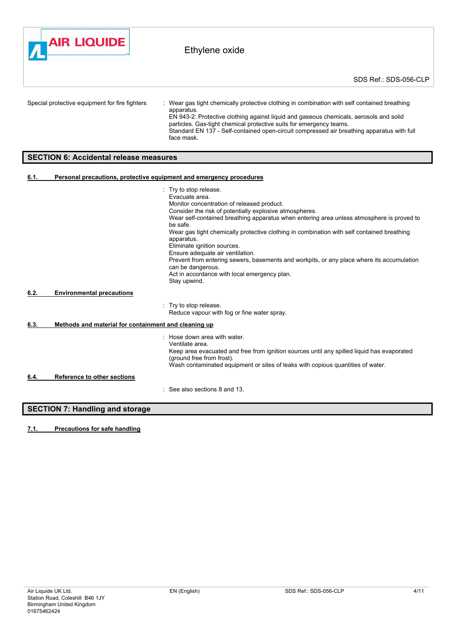

Special protective equipment for fire fighters : Wear gas tight chemically protective clothing in combination with self contained breathing apparatus. EN 943-2: Protective clothing against liquid and gaseous chemicals, aerosols and solid particles. Gas-tight chemical protective suits for emergency teams.

Standard EN 137 - Self-contained open-circuit compressed air breathing apparatus with full face mask.

### **SECTION 6: Accidental release measures**

#### **6.1. Personal precautions, protective equipment and emergency procedures**

|      |                                                      | : Try to stop release.                                                                                         |
|------|------------------------------------------------------|----------------------------------------------------------------------------------------------------------------|
|      |                                                      | Evacuate area.                                                                                                 |
|      |                                                      | Monitor concentration of released product.                                                                     |
|      |                                                      | Consider the risk of potentially explosive atmospheres.                                                        |
|      |                                                      | Wear self-contained breathing apparatus when entering area unless atmosphere is proved to<br>be safe.          |
|      |                                                      | Wear gas tight chemically protective clothing in combination with self contained breathing<br>apparatus.       |
|      |                                                      | Eliminate ignition sources.                                                                                    |
|      |                                                      | Ensure adequate air ventilation.                                                                               |
|      |                                                      | Prevent from entering sewers, basements and workpits, or any place where its accumulation<br>can be dangerous. |
|      |                                                      | Act in accordance with local emergency plan.                                                                   |
|      |                                                      | Stay upwind.                                                                                                   |
| 6.2. | <b>Environmental precautions</b>                     |                                                                                                                |
|      |                                                      |                                                                                                                |
|      |                                                      | : Try to stop release.                                                                                         |
|      |                                                      | Reduce vapour with fog or fine water spray.                                                                    |
| 6.3. | Methods and material for containment and cleaning up |                                                                                                                |
|      |                                                      | : Hose down area with water.<br>Ventilate area.                                                                |
|      |                                                      | Keep area evacuated and free from ignition sources until any spilled liquid has evaporated                     |
|      |                                                      | (ground free from frost).                                                                                      |
|      |                                                      | Wash contaminated equipment or sites of leaks with copious quantities of water.                                |
|      |                                                      |                                                                                                                |
| 6.4. | <b>Reference to other sections</b>                   |                                                                                                                |
|      |                                                      | $\therefore$ See also sections 8 and 13.                                                                       |
|      |                                                      |                                                                                                                |
|      |                                                      |                                                                                                                |

# **SECTION 7: Handling and storage**

**7.1. Precautions for safe handling**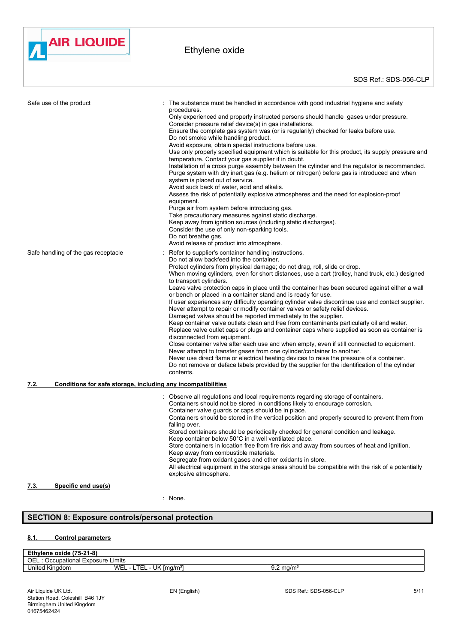

| Safe use of the product                                              | The substance must be handled in accordance with good industrial hygiene and safety<br>procedures.<br>Only experienced and properly instructed persons should handle gases under pressure.<br>Consider pressure relief device(s) in gas installations.<br>Ensure the complete gas system was (or is regularily) checked for leaks before use.<br>Do not smoke while handling product.<br>Avoid exposure, obtain special instructions before use.<br>Use only properly specified equipment which is suitable for this product, its supply pressure and<br>temperature. Contact your gas supplier if in doubt.<br>Installation of a cross purge assembly between the cylinder and the regulator is recommended.<br>Purge system with dry inert gas (e.g. helium or nitrogen) before gas is introduced and when<br>system is placed out of service.<br>Avoid suck back of water, acid and alkalis.<br>Assess the risk of potentially explosive atmospheres and the need for explosion-proof<br>equipment.<br>Purge air from system before introducing gas.<br>Take precautionary measures against static discharge.<br>Keep away from ignition sources (including static discharges).<br>Consider the use of only non-sparking tools.<br>Do not breathe gas.<br>Avoid release of product into atmosphere.                                                      |
|----------------------------------------------------------------------|-------------------------------------------------------------------------------------------------------------------------------------------------------------------------------------------------------------------------------------------------------------------------------------------------------------------------------------------------------------------------------------------------------------------------------------------------------------------------------------------------------------------------------------------------------------------------------------------------------------------------------------------------------------------------------------------------------------------------------------------------------------------------------------------------------------------------------------------------------------------------------------------------------------------------------------------------------------------------------------------------------------------------------------------------------------------------------------------------------------------------------------------------------------------------------------------------------------------------------------------------------------------------------------------------------------------------------------------------------------|
| Safe handling of the gas receptacle                                  | Refer to supplier's container handling instructions.<br>Do not allow backfeed into the container.<br>Protect cylinders from physical damage; do not drag, roll, slide or drop.<br>When moving cylinders, even for short distances, use a cart (trolley, hand truck, etc.) designed<br>to transport cylinders.<br>Leave valve protection caps in place until the container has been secured against either a wall<br>or bench or placed in a container stand and is ready for use.<br>If user experiences any difficulty operating cylinder valve discontinue use and contact supplier.<br>Never attempt to repair or modify container valves or safety relief devices.<br>Damaged valves should be reported immediately to the supplier.<br>Keep container valve outlets clean and free from contaminants particularly oil and water.<br>Replace valve outlet caps or plugs and container caps where supplied as soon as container is<br>disconnected from equipment.<br>Close container valve after each use and when empty, even if still connected to equipment.<br>Never attempt to transfer gases from one cylinder/container to another.<br>Never use direct flame or electrical heating devices to raise the pressure of a container.<br>Do not remove or deface labels provided by the supplier for the identification of the cylinder<br>contents. |
| Conditions for safe storage, including any incompatibilities<br>7.2. |                                                                                                                                                                                                                                                                                                                                                                                                                                                                                                                                                                                                                                                                                                                                                                                                                                                                                                                                                                                                                                                                                                                                                                                                                                                                                                                                                             |
|                                                                      | : Observe all regulations and local requirements regarding storage of containers.<br>Containers should not be stored in conditions likely to encourage corrosion.<br>Container valve guards or caps should be in place.<br>Containers should be stored in the vertical position and properly secured to prevent them from<br>falling over.<br>Stored containers should be periodically checked for general condition and leakage.<br>Keep container below 50°C in a well ventilated place.<br>Store containers in location free from fire risk and away from sources of heat and ignition.<br>Keep away from combustible materials.<br>Segregate from oxidant gases and other oxidants in store.<br>All electrical equipment in the storage areas should be compatible with the risk of a potentially<br>explosive atmosphere.                                                                                                                                                                                                                                                                                                                                                                                                                                                                                                                              |
| Specific end use(s)<br>7.3.                                          |                                                                                                                                                                                                                                                                                                                                                                                                                                                                                                                                                                                                                                                                                                                                                                                                                                                                                                                                                                                                                                                                                                                                                                                                                                                                                                                                                             |

: None.

# **SECTION 8: Exposure controls/personal protection**

# **8.1. Control parameters**

| ---<br>oxide (75-21-8)<br>Ethylene <   |                                                 |                      |  |
|----------------------------------------|-------------------------------------------------|----------------------|--|
| OEL<br>Exposure Limits<br>Occupational |                                                 |                      |  |
| ⊟nite⊾<br>Kingdom<br><b>NINGUOTI</b>   | UK<br>$Im \alpha/m^{37}$<br>WEL<br>-<br>--<br>- | $9.2 \text{ mg/m}^3$ |  |
|                                        |                                                 |                      |  |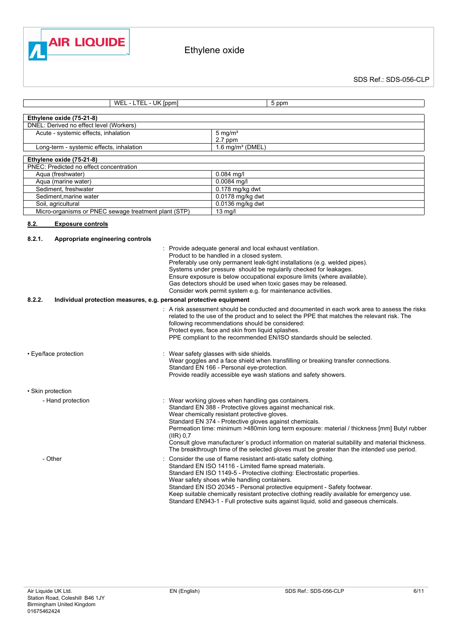

SDS Ref.: SDS-056-CLP

| WEL - LTEL - UK [ppm]                                                        |           | 5 ppm                                                                                                                                                                                                                                                                                                                                                                                                                                                                                                                                                      |
|------------------------------------------------------------------------------|-----------|------------------------------------------------------------------------------------------------------------------------------------------------------------------------------------------------------------------------------------------------------------------------------------------------------------------------------------------------------------------------------------------------------------------------------------------------------------------------------------------------------------------------------------------------------------|
| Ethylene oxide (75-21-8)                                                     |           |                                                                                                                                                                                                                                                                                                                                                                                                                                                                                                                                                            |
| DNEL: Derived no effect level (Workers)                                      |           |                                                                                                                                                                                                                                                                                                                                                                                                                                                                                                                                                            |
| Acute - systemic effects, inhalation                                         |           | $5 \text{ mg/m}^3$                                                                                                                                                                                                                                                                                                                                                                                                                                                                                                                                         |
|                                                                              |           | 2.7 ppm                                                                                                                                                                                                                                                                                                                                                                                                                                                                                                                                                    |
| Long-term - systemic effects, inhalation                                     |           | $1.6$ mg/m <sup>3</sup> (DMEL)                                                                                                                                                                                                                                                                                                                                                                                                                                                                                                                             |
| Ethylene oxide (75-21-8)                                                     |           |                                                                                                                                                                                                                                                                                                                                                                                                                                                                                                                                                            |
| PNEC: Predicted no effect concentration                                      |           |                                                                                                                                                                                                                                                                                                                                                                                                                                                                                                                                                            |
| Aqua (freshwater)                                                            |           | 0.084 mg/l                                                                                                                                                                                                                                                                                                                                                                                                                                                                                                                                                 |
| Aqua (marine water)                                                          |           | 0.0084 mg/l                                                                                                                                                                                                                                                                                                                                                                                                                                                                                                                                                |
| Sediment, freshwater                                                         |           | $0.178$ mg/kg dwt                                                                                                                                                                                                                                                                                                                                                                                                                                                                                                                                          |
| Sediment, marine water<br>Soil, agricultural                                 |           | 0.0178 mg/kg dwt<br>0.0136 mg/kg dwt                                                                                                                                                                                                                                                                                                                                                                                                                                                                                                                       |
| Micro-organisms or PNEC sewage treatment plant (STP)                         |           | 13 mg/l                                                                                                                                                                                                                                                                                                                                                                                                                                                                                                                                                    |
|                                                                              |           |                                                                                                                                                                                                                                                                                                                                                                                                                                                                                                                                                            |
| 8.2.<br><b>Exposure controls</b>                                             |           |                                                                                                                                                                                                                                                                                                                                                                                                                                                                                                                                                            |
| 8.2.1.<br>Appropriate engineering controls                                   |           |                                                                                                                                                                                                                                                                                                                                                                                                                                                                                                                                                            |
|                                                                              |           | : Provide adequate general and local exhaust ventilation.                                                                                                                                                                                                                                                                                                                                                                                                                                                                                                  |
|                                                                              |           | Product to be handled in a closed system.                                                                                                                                                                                                                                                                                                                                                                                                                                                                                                                  |
|                                                                              |           | Preferably use only permanent leak-tight installations (e.g. welded pipes).                                                                                                                                                                                                                                                                                                                                                                                                                                                                                |
|                                                                              |           | Systems under pressure should be regularily checked for leakages.                                                                                                                                                                                                                                                                                                                                                                                                                                                                                          |
|                                                                              |           | Ensure exposure is below occupational exposure limits (where available).                                                                                                                                                                                                                                                                                                                                                                                                                                                                                   |
|                                                                              |           | Gas detectors should be used when toxic gases may be released.<br>Consider work permit system e.g. for maintenance activities.                                                                                                                                                                                                                                                                                                                                                                                                                             |
| 8.2.2.<br>Individual protection measures, e.g. personal protective equipment |           |                                                                                                                                                                                                                                                                                                                                                                                                                                                                                                                                                            |
|                                                                              |           |                                                                                                                                                                                                                                                                                                                                                                                                                                                                                                                                                            |
|                                                                              |           | : A risk assessment should be conducted and documented in each work area to assess the risks<br>related to the use of the product and to select the PPE that matches the relevant risk. The<br>following recommendations should be considered:                                                                                                                                                                                                                                                                                                             |
|                                                                              |           | Protect eyes, face and skin from liquid splashes.<br>PPE compliant to the recommended EN/ISO standards should be selected.                                                                                                                                                                                                                                                                                                                                                                                                                                 |
| • Eye/face protection                                                        |           | Wear safety glasses with side shields.                                                                                                                                                                                                                                                                                                                                                                                                                                                                                                                     |
|                                                                              |           | Wear goggles and a face shield when transfilling or breaking transfer connections.                                                                                                                                                                                                                                                                                                                                                                                                                                                                         |
|                                                                              |           | Standard EN 166 - Personal eye-protection.                                                                                                                                                                                                                                                                                                                                                                                                                                                                                                                 |
|                                                                              |           | Provide readily accessible eye wash stations and safety showers.                                                                                                                                                                                                                                                                                                                                                                                                                                                                                           |
| • Skin protection                                                            |           |                                                                                                                                                                                                                                                                                                                                                                                                                                                                                                                                                            |
|                                                                              |           |                                                                                                                                                                                                                                                                                                                                                                                                                                                                                                                                                            |
| - Hand protection                                                            |           | Wear working gloves when handling gas containers.<br>Standard EN 388 - Protective gloves against mechanical risk.                                                                                                                                                                                                                                                                                                                                                                                                                                          |
|                                                                              |           | Wear chemically resistant protective gloves.                                                                                                                                                                                                                                                                                                                                                                                                                                                                                                               |
|                                                                              |           | Standard EN 374 - Protective gloves against chemicals.                                                                                                                                                                                                                                                                                                                                                                                                                                                                                                     |
|                                                                              |           |                                                                                                                                                                                                                                                                                                                                                                                                                                                                                                                                                            |
|                                                                              |           |                                                                                                                                                                                                                                                                                                                                                                                                                                                                                                                                                            |
|                                                                              |           | The breakthrough time of the selected gloves must be greater than the intended use period.                                                                                                                                                                                                                                                                                                                                                                                                                                                                 |
| - Other                                                                      |           | Consider the use of flame resistant anti-static safety clothing.                                                                                                                                                                                                                                                                                                                                                                                                                                                                                           |
|                                                                              |           |                                                                                                                                                                                                                                                                                                                                                                                                                                                                                                                                                            |
|                                                                              |           |                                                                                                                                                                                                                                                                                                                                                                                                                                                                                                                                                            |
|                                                                              |           |                                                                                                                                                                                                                                                                                                                                                                                                                                                                                                                                                            |
|                                                                              |           | Keep suitable chemically resistant protective clothing readily available for emergency use.                                                                                                                                                                                                                                                                                                                                                                                                                                                                |
|                                                                              | (IIR) 0,7 | Permeation time: minimum >480min long term exposure: material / thickness [mm] Butyl rubber<br>Consult glove manufacturer's product information on material suitability and material thickness.<br>Standard EN ISO 14116 - Limited flame spread materials.<br>Standard EN ISO 1149-5 - Protective clothing: Electrostatic properties.<br>Wear safety shoes while handling containers.<br>Standard EN ISO 20345 - Personal protective equipment - Safety footwear.<br>Standard EN943-1 - Full protective suits against liquid, solid and gaseous chemicals. |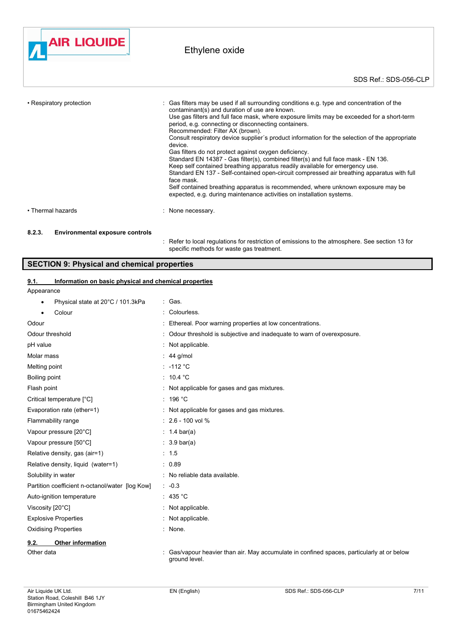

| • Respiratory protection | : Gas filters may be used if all surrounding conditions e.g. type and concentration of the<br>contaminant(s) and duration of use are known.<br>Use gas filters and full face mask, where exposure limits may be exceeded for a short-term<br>period, e.g. connecting or disconnecting containers.<br>Recommended: Filter AX (brown).<br>Consult respiratory device supplier's product information for the selection of the appropriate<br>device.<br>Gas filters do not protect against oxygen deficiency.<br>Standard EN 14387 - Gas filter(s), combined filter(s) and full face mask - EN 136.<br>Keep self contained breathing apparatus readily available for emergency use.<br>Standard EN 137 - Self-contained open-circuit compressed air breathing apparatus with full<br>face mask.<br>Self contained breathing apparatus is recommended, where unknown exposure may be<br>expected, e.g. during maintenance activities on installation systems. |
|--------------------------|-----------------------------------------------------------------------------------------------------------------------------------------------------------------------------------------------------------------------------------------------------------------------------------------------------------------------------------------------------------------------------------------------------------------------------------------------------------------------------------------------------------------------------------------------------------------------------------------------------------------------------------------------------------------------------------------------------------------------------------------------------------------------------------------------------------------------------------------------------------------------------------------------------------------------------------------------------------|
| • Thermal hazards        | : None necessary.                                                                                                                                                                                                                                                                                                                                                                                                                                                                                                                                                                                                                                                                                                                                                                                                                                                                                                                                         |

### **8.2.3. Environmental exposure controls**

: Refer to local regulations for restriction of emissions to the atmosphere. See section 13 for specific methods for waste gas treatment.

# **SECTION 9: Physical and chemical properties**

## **9.1. Information on basic physical and chemical properties**

Appearance

| Physical state at 20°C / 101.3kPa<br>٠          | : Gas.                                                                                                    |
|-------------------------------------------------|-----------------------------------------------------------------------------------------------------------|
| Colour<br>$\bullet$                             | : Colourless.                                                                                             |
| Odour                                           | Ethereal. Poor warning properties at low concentrations.                                                  |
| Odour threshold                                 | Odour threshold is subjective and inadequate to warn of overexposure.                                     |
| pH value                                        | Not applicable.                                                                                           |
| Molar mass                                      | $: 44$ g/mol                                                                                              |
| Melting point                                   | : $-112$ °C                                                                                               |
| Boiling point                                   | : $10.4 °C$                                                                                               |
| Flash point                                     | : Not applicable for gases and gas mixtures.                                                              |
| Critical temperature [°C]                       | : 196 $°C$                                                                                                |
| Evaporation rate (ether=1)                      | : Not applicable for gases and gas mixtures.                                                              |
| Flammability range                              | $: 2.6 - 100$ vol %                                                                                       |
| Vapour pressure [20°C]                          | : 1.4 bar(a)                                                                                              |
| Vapour pressure [50°C]                          | $: 3.9 \text{ bar(a)}$                                                                                    |
| Relative density, gas (air=1)                   | : 1.5                                                                                                     |
| Relative density, liquid (water=1)              | : 0.89                                                                                                    |
| Solubility in water                             | : No reliable data available.                                                                             |
| Partition coefficient n-octanol/water [log Kow] | $: -0.3$                                                                                                  |
| Auto-ignition temperature                       | : 435 °C                                                                                                  |
| Viscosity [20°C]                                | : Not applicable.                                                                                         |
| <b>Explosive Properties</b>                     | : Not applicable.                                                                                         |
| <b>Oxidising Properties</b>                     | : None.                                                                                                   |
| <b>Other information</b><br>9.2.                |                                                                                                           |
| Other data                                      | Gas/vapour heavier than air. May accumulate in confined spaces, particularly at or below<br>ground level. |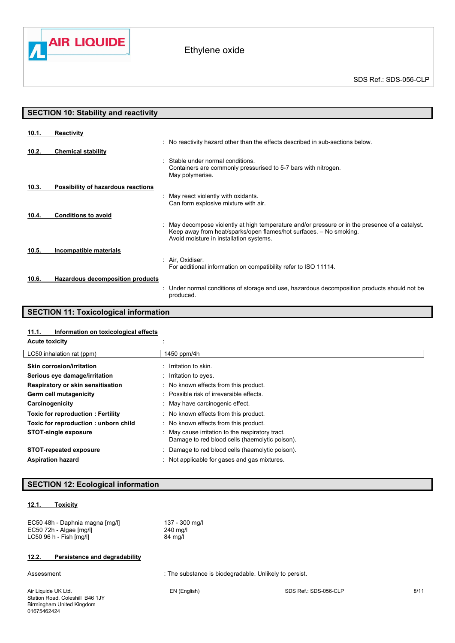

ſ

| <b>SECTION 10: Stability and reactivity</b> |                                         |                                                                                                                                                                                                                  |
|---------------------------------------------|-----------------------------------------|------------------------------------------------------------------------------------------------------------------------------------------------------------------------------------------------------------------|
|                                             |                                         |                                                                                                                                                                                                                  |
| 10.1.                                       | <b>Reactivity</b>                       |                                                                                                                                                                                                                  |
|                                             |                                         | : No reactivity hazard other than the effects described in sub-sections below.                                                                                                                                   |
| 10.2.                                       | <b>Chemical stability</b>               |                                                                                                                                                                                                                  |
|                                             |                                         | Stable under normal conditions.<br>Containers are commonly pressurised to 5-7 bars with nitrogen.<br>May polymerise.                                                                                             |
| 10.3.                                       | Possibility of hazardous reactions      |                                                                                                                                                                                                                  |
|                                             |                                         | : May react violently with oxidants.<br>Can form explosive mixture with air.                                                                                                                                     |
| 10.4.                                       | <b>Conditions to avoid</b>              |                                                                                                                                                                                                                  |
|                                             |                                         | : May decompose violently at high temperature and/or pressure or in the presence of a catalyst.<br>Keep away from heat/sparks/open flames/hot surfaces. - No smoking.<br>Avoid moisture in installation systems. |
| 10.5.                                       | Incompatible materials                  |                                                                                                                                                                                                                  |
|                                             |                                         | : Air, Oxidiser.<br>For additional information on compatibility refer to ISO 11114.                                                                                                                              |
| 10.6.                                       | <b>Hazardous decomposition products</b> |                                                                                                                                                                                                                  |
|                                             |                                         | Under normal conditions of storage and use, hazardous decomposition products should not be<br>produced.                                                                                                          |

# **SECTION 11: Toxicological information**

### **11.1. Information on toxicological effects**

| <b>Acute toxicity</b> |  |
|-----------------------|--|
|                       |  |

| LC50 inhalation rat (ppm)                | 1450 ppm/4h                                                                                        |
|------------------------------------------|----------------------------------------------------------------------------------------------------|
| Skin corrosion/irritation                | : Irritation to skin.                                                                              |
| Serious eye damage/irritation            | : Irritation to eyes.                                                                              |
| Respiratory or skin sensitisation        | : No known effects from this product.                                                              |
| Germ cell mutagenicity                   | : Possible risk of irreversible effects.                                                           |
| Carcinogenicity                          | : May have carcinogenic effect.                                                                    |
| <b>Toxic for reproduction: Fertility</b> | : No known effects from this product.                                                              |
| Toxic for reproduction: unborn child     | : No known effects from this product.                                                              |
| <b>STOT-single exposure</b>              | : May cause irritation to the respiratory tract.<br>Damage to red blood cells (haemolytic poison). |
| <b>STOT-repeated exposure</b>            | Damage to red blood cells (haemolytic poison).                                                     |
| <b>Aspiration hazard</b>                 | Not applicable for gases and gas mixtures.                                                         |

## **SECTION 12: Ecological information**

### **12.1. Toxicity**

| EC50 48h - Daphnia magna [mg/l] | 137 - 300 mg/l |
|---------------------------------|----------------|
| $EC50$ 72h - Algae $[mg/l]$     | 240 ma/l       |
| LC50 96 h - Fish [mq/l]         | 84 mg/l        |

## **12.2. Persistence and degradability**

Assessment : The substance is biodegradable. Unlikely to persist.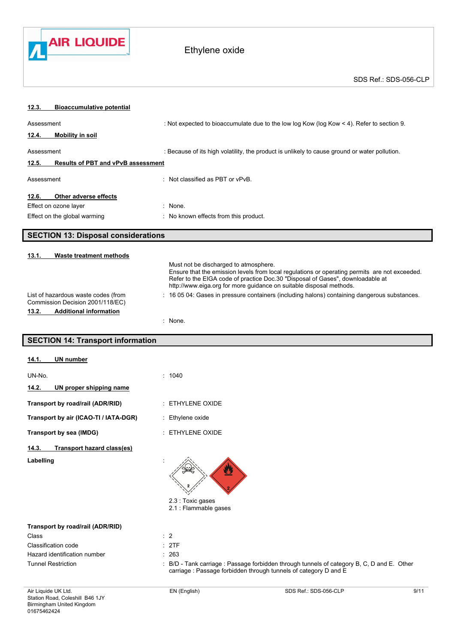

# Ethylene oxide

| 12.3.<br><b>Bioaccumulative potential</b>                               |                                                                                               |                                                                                                                                                                                                                                                        |      |  |
|-------------------------------------------------------------------------|-----------------------------------------------------------------------------------------------|--------------------------------------------------------------------------------------------------------------------------------------------------------------------------------------------------------------------------------------------------------|------|--|
| Assessment                                                              |                                                                                               | : Not expected to bioaccumulate due to the low log Kow (log Kow < 4). Refer to section 9.                                                                                                                                                              |      |  |
| 12.4.<br><b>Mobility in soil</b>                                        |                                                                                               |                                                                                                                                                                                                                                                        |      |  |
| Assessment                                                              | : Because of its high volatility, the product is unlikely to cause ground or water pollution. |                                                                                                                                                                                                                                                        |      |  |
| 12.5.<br><b>Results of PBT and vPvB assessment</b>                      |                                                                                               |                                                                                                                                                                                                                                                        |      |  |
| Assessment                                                              | : Not classified as PBT or vPvB.                                                              |                                                                                                                                                                                                                                                        |      |  |
| 12.6.<br>Other adverse effects                                          |                                                                                               |                                                                                                                                                                                                                                                        |      |  |
| Effect on ozone layer                                                   | : None.                                                                                       |                                                                                                                                                                                                                                                        |      |  |
| Effect on the global warming                                            | : No known effects from this product.                                                         |                                                                                                                                                                                                                                                        |      |  |
| <b>SECTION 13: Disposal considerations</b>                              |                                                                                               |                                                                                                                                                                                                                                                        |      |  |
| 13.1.<br><b>Waste treatment methods</b>                                 |                                                                                               |                                                                                                                                                                                                                                                        |      |  |
|                                                                         | Must not be discharged to atmosphere.                                                         | Ensure that the emission levels from local regulations or operating permits are not exceeded.<br>Refer to the EIGA code of practice Doc.30 "Disposal of Gases", downloadable at<br>http://www.eiga.org for more guidance on suitable disposal methods. |      |  |
| List of hazardous waste codes (from<br>Commission Decision 2001/118/EC) |                                                                                               | : 16 05 04: Gases in pressure containers (including halons) containing dangerous substances.                                                                                                                                                           |      |  |
| 13.2.<br><b>Additional information</b>                                  |                                                                                               |                                                                                                                                                                                                                                                        |      |  |
|                                                                         | : None.                                                                                       |                                                                                                                                                                                                                                                        |      |  |
| <b>SECTION 14: Transport information</b>                                |                                                                                               |                                                                                                                                                                                                                                                        |      |  |
| <b>UN</b> number<br>14.1.                                               |                                                                                               |                                                                                                                                                                                                                                                        |      |  |
| UN-No.                                                                  | : 1040                                                                                        |                                                                                                                                                                                                                                                        |      |  |
| UN proper shipping name<br>14.2.                                        |                                                                                               |                                                                                                                                                                                                                                                        |      |  |
| Transport by road/rail (ADR/RID)                                        | : ETHYLENE OXIDE                                                                              |                                                                                                                                                                                                                                                        |      |  |
| Transport by air (ICAO-TI / IATA-DGR)                                   | : Ethylene oxide                                                                              |                                                                                                                                                                                                                                                        |      |  |
| Transport by sea (IMDG)                                                 | $:$ ETHYLENE OXIDE                                                                            |                                                                                                                                                                                                                                                        |      |  |
| 14.3.<br><b>Transport hazard class(es)</b>                              |                                                                                               |                                                                                                                                                                                                                                                        |      |  |
| Labelling                                                               | 2.3 : Toxic gases<br>2.1 : Flammable gases                                                    |                                                                                                                                                                                                                                                        |      |  |
| Transport by road/rail (ADR/RID)                                        |                                                                                               |                                                                                                                                                                                                                                                        |      |  |
| Class                                                                   | $\therefore$ 2                                                                                |                                                                                                                                                                                                                                                        |      |  |
| Classification code                                                     | : 2TF                                                                                         |                                                                                                                                                                                                                                                        |      |  |
| Hazard identification number<br><b>Tunnel Restriction</b>               | : 263                                                                                         |                                                                                                                                                                                                                                                        |      |  |
|                                                                         |                                                                                               | : B/D - Tank carriage : Passage forbidden through tunnels of category B, C, D and E. Other<br>carriage : Passage forbidden through tunnels of category D and E                                                                                         |      |  |
| Air Liquide UK Ltd.                                                     | EN (English)                                                                                  | SDS Ref.: SDS-056-CLP                                                                                                                                                                                                                                  | 9/11 |  |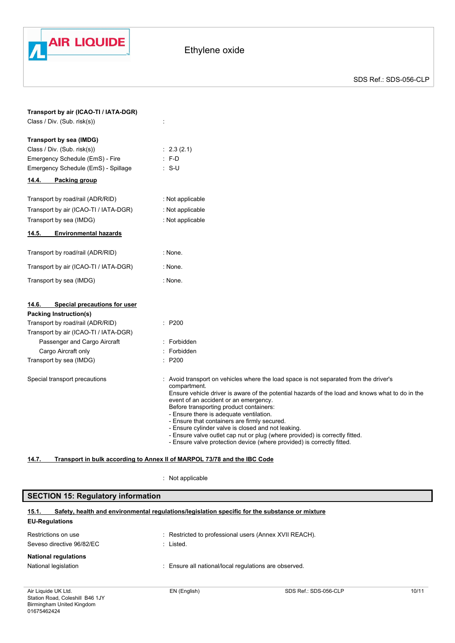

| Transport by air (ICAO-TI / IATA-DGR)<br>Class / Div. (Sub. risk(s))                                                                                                                                                                  |                                                                                                                                                                                                                                                                                                                                                                                                                                                                                                                                                                                                        |
|---------------------------------------------------------------------------------------------------------------------------------------------------------------------------------------------------------------------------------------|--------------------------------------------------------------------------------------------------------------------------------------------------------------------------------------------------------------------------------------------------------------------------------------------------------------------------------------------------------------------------------------------------------------------------------------------------------------------------------------------------------------------------------------------------------------------------------------------------------|
| Transport by sea (IMDG)<br>Class / Div. (Sub. risk(s))<br>Emergency Schedule (EmS) - Fire<br>Emergency Schedule (EmS) - Spillage<br>14.4.<br>Packing group                                                                            | $\therefore$ 2.3 (2.1)<br>$: F-D$<br>$: S-U$                                                                                                                                                                                                                                                                                                                                                                                                                                                                                                                                                           |
| Transport by road/rail (ADR/RID)<br>Transport by air (ICAO-TI / IATA-DGR)<br>Transport by sea (IMDG)<br><b>Environmental hazards</b><br>14.5.                                                                                         | : Not applicable<br>: Not applicable<br>: Not applicable                                                                                                                                                                                                                                                                                                                                                                                                                                                                                                                                               |
| Transport by road/rail (ADR/RID)<br>Transport by air (ICAO-TI / IATA-DGR)<br>Transport by sea (IMDG)                                                                                                                                  | : None.<br>: None.<br>: None.                                                                                                                                                                                                                                                                                                                                                                                                                                                                                                                                                                          |
| Special precautions for user<br>14.6.<br><b>Packing Instruction(s)</b><br>Transport by road/rail (ADR/RID)<br>Transport by air (ICAO-TI / IATA-DGR)<br>Passenger and Cargo Aircraft<br>Cargo Aircraft only<br>Transport by sea (IMDG) | : P200<br>: Forbidden<br>: Forbidden<br>: P200                                                                                                                                                                                                                                                                                                                                                                                                                                                                                                                                                         |
| Special transport precautions                                                                                                                                                                                                         | : Avoid transport on vehicles where the load space is not separated from the driver's<br>compartment.<br>Ensure vehicle driver is aware of the potential hazards of the load and knows what to do in the<br>event of an accident or an emergency.<br>Before transporting product containers:<br>- Ensure there is adequate ventilation.<br>- Ensure that containers are firmly secured.<br>- Ensure cylinder valve is closed and not leaking.<br>- Ensure valve outlet cap nut or plug (where provided) is correctly fitted.<br>- Ensure valve protection device (where provided) is correctly fitted. |

### **14.7. Transport in bulk according to Annex II of MARPOL 73/78 and the IBC Code**

: Not applicable

| <b>SECTION 15: Regulatory information</b>                                                                                        |              |                                                        |       |
|----------------------------------------------------------------------------------------------------------------------------------|--------------|--------------------------------------------------------|-------|
| Safety, health and environmental regulations/legislation specific for the substance or mixture<br>15.1.<br><b>EU-Regulations</b> |              |                                                        |       |
| Restrictions on use<br>Seveso directive 96/82/EC                                                                                 | : Listed.    | : Restricted to professional users (Annex XVII REACH). |       |
| <b>National regulations</b><br>National legislation                                                                              |              | : Ensure all national/local regulations are observed.  |       |
| Air Liquide UK Ltd.                                                                                                              | EN (English) | SDS Ref.: SDS-056-CLP                                  | 10/11 |